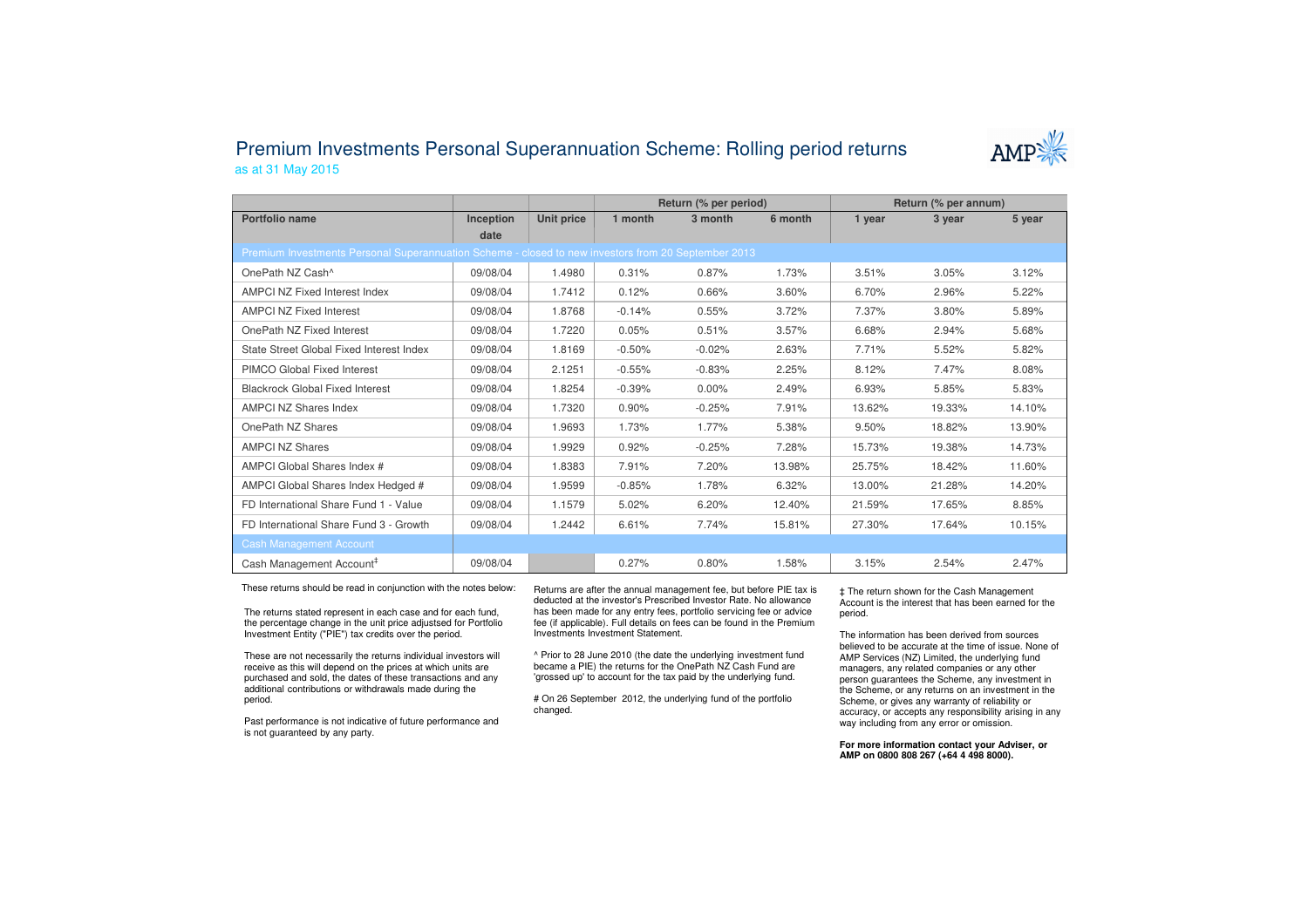## Premium Investments Personal Superannuation Scheme: Rolling period returnsas at 31 May 2015



|                                                                                                     |                  |                   | Return (% per period) |          |         | Return (% per annum) |        |        |
|-----------------------------------------------------------------------------------------------------|------------------|-------------------|-----------------------|----------|---------|----------------------|--------|--------|
| Portfolio name                                                                                      | <b>Inception</b> | <b>Unit price</b> | 1 month               | 3 month  | 6 month | 1 year               | 3 year | 5 year |
|                                                                                                     | date             |                   |                       |          |         |                      |        |        |
| Premium Investments Personal Superannuation Scheme - closed to new investors from 20 September 2013 |                  |                   |                       |          |         |                      |        |        |
| OnePath NZ Cash <sup>^</sup>                                                                        | 09/08/04         | 1.4980            | 0.31%                 | 0.87%    | 1.73%   | 3.51%                | 3.05%  | 3.12%  |
| <b>AMPCI NZ Fixed Interest Index</b>                                                                | 09/08/04         | 1.7412            | 0.12%                 | 0.66%    | 3.60%   | 6.70%                | 2.96%  | 5.22%  |
| <b>AMPCI NZ Fixed Interest</b>                                                                      | 09/08/04         | 1.8768            | $-0.14%$              | 0.55%    | 3.72%   | 7.37%                | 3.80%  | 5.89%  |
| OnePath NZ Fixed Interest                                                                           | 09/08/04         | 1.7220            | 0.05%                 | 0.51%    | 3.57%   | 6.68%                | 2.94%  | 5.68%  |
| State Street Global Fixed Interest Index                                                            | 09/08/04         | 1.8169            | $-0.50%$              | $-0.02%$ | 2.63%   | 7.71%                | 5.52%  | 5.82%  |
| <b>PIMCO Global Fixed Interest</b>                                                                  | 09/08/04         | 2.1251            | $-0.55%$              | $-0.83%$ | 2.25%   | 8.12%                | 7.47%  | 8.08%  |
| <b>Blackrock Global Fixed Interest</b>                                                              | 09/08/04         | 1.8254            | $-0.39%$              | $0.00\%$ | 2.49%   | 6.93%                | 5.85%  | 5.83%  |
| <b>AMPCI NZ Shares Index</b>                                                                        | 09/08/04         | 1.7320            | 0.90%                 | $-0.25%$ | 7.91%   | 13.62%               | 19.33% | 14.10% |
| OnePath NZ Shares                                                                                   | 09/08/04         | 1.9693            | 1.73%                 | 1.77%    | 5.38%   | 9.50%                | 18.82% | 13.90% |
| <b>AMPCI NZ Shares</b>                                                                              | 09/08/04         | 1.9929            | 0.92%                 | $-0.25%$ | 7.28%   | 15.73%               | 19.38% | 14.73% |
| AMPCI Global Shares Index #                                                                         | 09/08/04         | 1.8383            | 7.91%                 | 7.20%    | 13.98%  | 25.75%               | 18.42% | 11.60% |
| AMPCI Global Shares Index Hedged #                                                                  | 09/08/04         | 1.9599            | $-0.85%$              | 1.78%    | 6.32%   | 13.00%               | 21.28% | 14.20% |
| FD International Share Fund 1 - Value                                                               | 09/08/04         | 1.1579            | 5.02%                 | 6.20%    | 12.40%  | 21.59%               | 17.65% | 8.85%  |
| FD International Share Fund 3 - Growth                                                              | 09/08/04         | 1.2442            | 6.61%                 | 7.74%    | 15.81%  | 27.30%               | 17.64% | 10.15% |
| <b>Cash Management Account</b>                                                                      |                  |                   |                       |          |         |                      |        |        |
| Cash Management Account <sup>#</sup>                                                                | 09/08/04         |                   | 0.27%                 | 0.80%    | 1.58%   | 3.15%                | 2.54%  | 2.47%  |

These returns should be read in conjunction with the notes below:

The returns stated represent in each case and for each fund, the percentage change in the unit price adjustsed for Portfolio Investment Entity ("PIE") tax credits over the period.

These are not necessarily the returns individual investors will receive as this will depend on the prices at which units are purchased and sold, the dates of these transactions and any additional contributions or withdrawals made during the period.

Past performance is not indicative of future performance and is not guaranteed by any party.

Returns are after the annual management fee, but before PIE tax is deducted at the investor's Prescribed Investor Rate. No allowance has been made for any entry fees, portfolio servicing fee or advice fee (if applicable). Full details on fees can be found in the Premium Investments Investment Statement.

^ Prior to 28 June 2010 (the date the underlying investment fund became a PIE) the returns for the OnePath NZ Cash Fund are 'grossed up' to account for the tax paid by the underlying fund.

# On 26 September 2012, the underlying fund of the portfolio changed.

‡ The return shown for the Cash Management Account is the interest that has been earned for the period.

The information has been derived from sources believed to be accurate at the time of issue. None of AMP Services (NZ) Limited, the underlying fund managers, any related companies or any other person guarantees the Scheme, any investment in the Scheme, or any returns on an investment in the Scheme, or gives any warranty of reliability or accuracy, or accepts any responsibility arising in any way including from any error or omission.

**For more information contact your Adviser, or AMP on 0800 808 267 (+64 4 498 8000).**